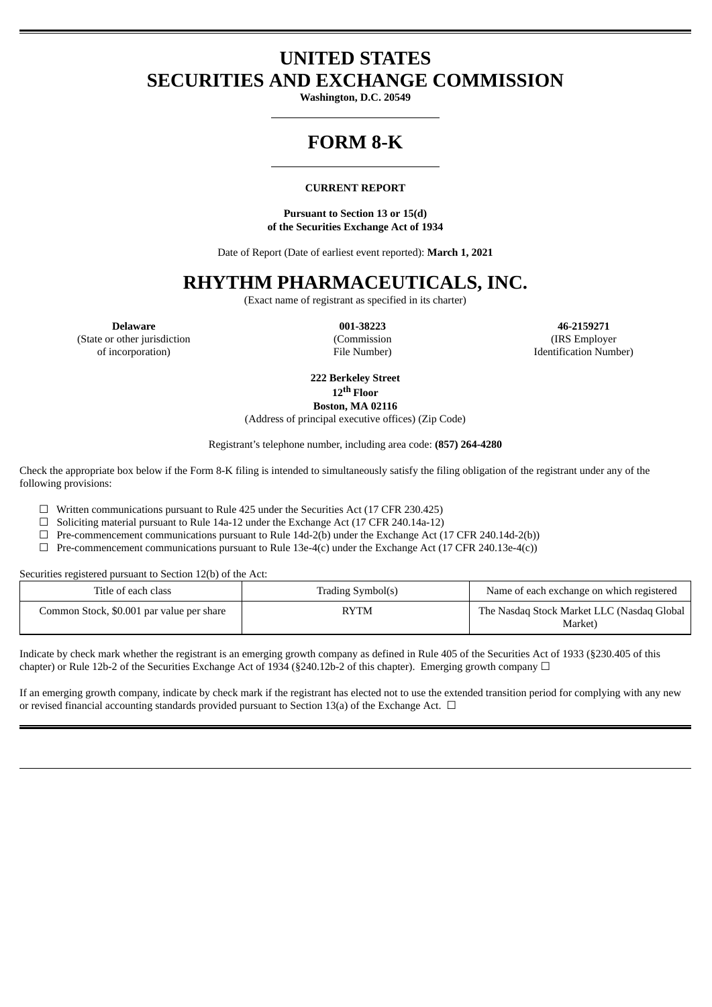## **UNITED STATES SECURITIES AND EXCHANGE COMMISSION**

**Washington, D.C. 20549**

## **FORM 8-K**

#### **CURRENT REPORT**

**Pursuant to Section 13 or 15(d) of the Securities Exchange Act of 1934**

Date of Report (Date of earliest event reported): **March 1, 2021**

## **RHYTHM PHARMACEUTICALS, INC.**

(Exact name of registrant as specified in its charter)

(State or other jurisdiction

of incorporation)

(Commission File Number)

**Delaware 001-38223 46-2159271** (IRS Employer Identification Number)

**222 Berkeley Street**

**12 th Floor Boston, MA 02116**

(Address of principal executive offices) (Zip Code)

Registrant's telephone number, including area code: **(857) 264-4280**

Check the appropriate box below if the Form 8-K filing is intended to simultaneously satisfy the filing obligation of the registrant under any of the following provisions:

- ☐ Written communications pursuant to Rule 425 under the Securities Act (17 CFR 230.425)
- ☐ Soliciting material pursuant to Rule 14a-12 under the Exchange Act (17 CFR 240.14a-12)
- ☐ Pre-commencement communications pursuant to Rule 14d-2(b) under the Exchange Act (17 CFR 240.14d-2(b))
- $\Box$  Pre-commencement communications pursuant to Rule 13e-4(c) under the Exchange Act (17 CFR 240.13e-4(c))

Securities registered pursuant to Section 12(b) of the Act:

| Title of each class                       | Trading Symbol(s) | Name of each exchange on which registered             |
|-------------------------------------------|-------------------|-------------------------------------------------------|
| Common Stock, \$0.001 par value per share | <b>RYTM</b>       | The Nasdaq Stock Market LLC (Nasdaq Global<br>Market) |

Indicate by check mark whether the registrant is an emerging growth company as defined in Rule 405 of the Securities Act of 1933 (§230.405 of this chapter) or Rule 12b-2 of the Securities Exchange Act of 1934 (§240.12b-2 of this chapter). Emerging growth company  $\Box$ 

If an emerging growth company, indicate by check mark if the registrant has elected not to use the extended transition period for complying with any new or revised financial accounting standards provided pursuant to Section 13(a) of the Exchange Act.  $\Box$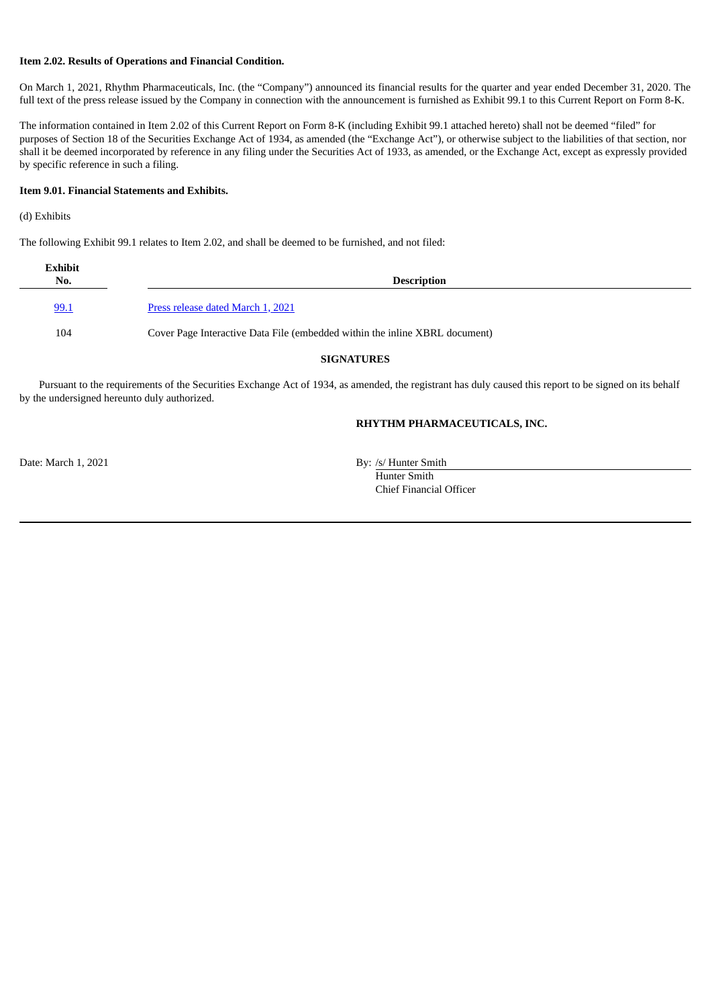#### **Item 2.02. Results of Operations and Financial Condition.**

On March 1, 2021, Rhythm Pharmaceuticals, Inc. (the "Company") announced its financial results for the quarter and year ended December 31, 2020. The full text of the press release issued by the Company in connection with the announcement is furnished as Exhibit 99.1 to this Current Report on Form 8-K.

The information contained in Item 2.02 of this Current Report on Form 8-K (including Exhibit 99.1 attached hereto) shall not be deemed "filed" for purposes of Section 18 of the Securities Exchange Act of 1934, as amended (the "Exchange Act"), or otherwise subject to the liabilities of that section, nor shall it be deemed incorporated by reference in any filing under the Securities Act of 1933, as amended, or the Exchange Act, except as expressly provided by specific reference in such a filing.

#### **Item 9.01. Financial Statements and Exhibits.**

#### (d) Exhibits

The following Exhibit 99.1 relates to Item 2.02, and shall be deemed to be furnished, and not filed:

| <b>Exhibit</b><br>No. | <b>Description</b>                                                          |  |  |  |
|-----------------------|-----------------------------------------------------------------------------|--|--|--|
| 99.1                  | Press release dated March 1, 2021                                           |  |  |  |
| 104                   | Cover Page Interactive Data File (embedded within the inline XBRL document) |  |  |  |

#### **SIGNATURES**

Pursuant to the requirements of the Securities Exchange Act of 1934, as amended, the registrant has duly caused this report to be signed on its behalf by the undersigned hereunto duly authorized.

#### **RHYTHM PHARMACEUTICALS, INC.**

Date: March 1, 2021 By: /s/ Hunter Smith

Hunter Smith Chief Financial Officer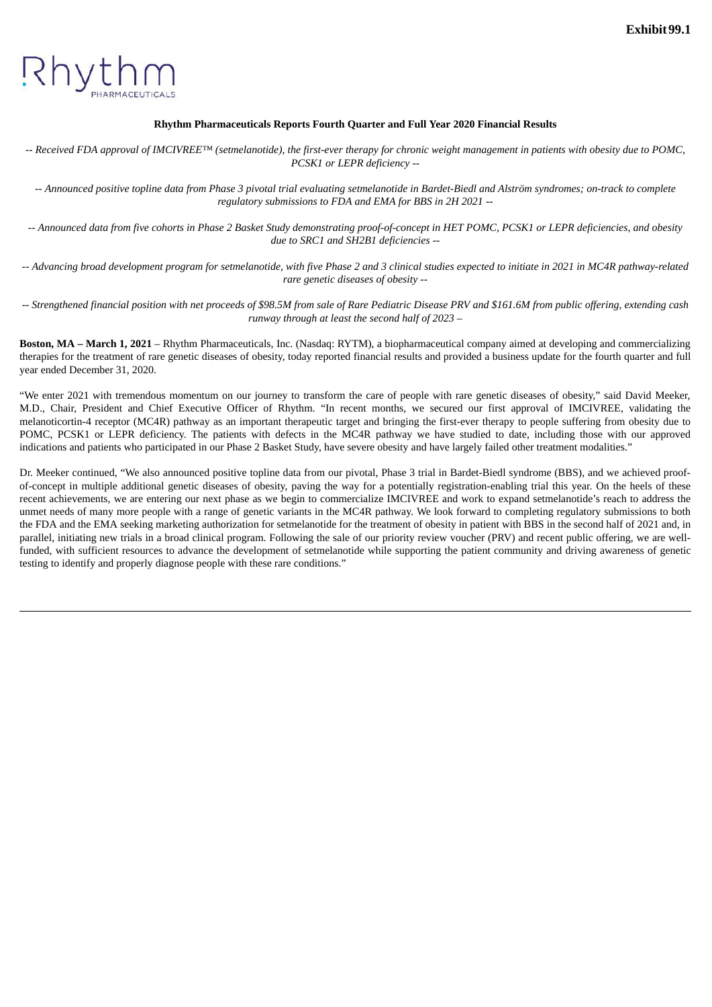<span id="page-2-0"></span>

#### **Rhythm Pharmaceuticals Reports Fourth Quarter and Full Year 2020 Financial Results**

-- Received FDA approval of IMCIVREE<sup>TM</sup> (setmelanotide), the first-ever therapy for chronic weight management in patients with obesity due to POMC, *PCSK1 or LEPR deficiency --*

-- Announced positive topline data from Phase 3 pivotal trial evaluating setmelanotide in Bardet-Biedl and Alström syndromes; on-track to complete *regulatory submissions to FDA and EMA for BBS in 2H 2021 --*

-- Announced data from five cohorts in Phase 2 Basket Study demonstrating proof-of-concept in HET POMC, PCSK1 or LEPR deficiencies, and obesity *due to SRC1 and SH2B1 deficiencies --*

-- Advancing broad development program for setmelanotide, with five Phase 2 and 3 clinical studies expected to initiate in 2021 in MC4R pathway-related *rare genetic diseases of obesity --*

-- Strengthened financial position with net proceeds of \$98.5M from sale of Rare Pediatric Disease PRV and \$161.6M from public offering, extending cash *runway through at least the second half of 2023 –*

**Boston, MA – March 1, 2021** – Rhythm Pharmaceuticals, Inc. (Nasdaq: RYTM), a biopharmaceutical company aimed at developing and commercializing therapies for the treatment of rare genetic diseases of obesity, today reported financial results and provided a business update for the fourth quarter and full year ended December 31, 2020.

"We enter 2021 with tremendous momentum on our journey to transform the care of people with rare genetic diseases of obesity," said David Meeker, M.D., Chair, President and Chief Executive Officer of Rhythm. "In recent months, we secured our first approval of IMCIVREE, validating the melanoticortin-4 receptor (MC4R) pathway as an important therapeutic target and bringing the first-ever therapy to people suffering from obesity due to POMC, PCSK1 or LEPR deficiency. The patients with defects in the MC4R pathway we have studied to date, including those with our approved indications and patients who participated in our Phase 2 Basket Study, have severe obesity and have largely failed other treatment modalities."

Dr. Meeker continued, "We also announced positive topline data from our pivotal, Phase 3 trial in Bardet-Biedl syndrome (BBS), and we achieved proofof-concept in multiple additional genetic diseases of obesity, paving the way for a potentially registration-enabling trial this year. On the heels of these recent achievements, we are entering our next phase as we begin to commercialize IMCIVREE and work to expand setmelanotide's reach to address the unmet needs of many more people with a range of genetic variants in the MC4R pathway. We look forward to completing regulatory submissions to both the FDA and the EMA seeking marketing authorization for setmelanotide for the treatment of obesity in patient with BBS in the second half of 2021 and, in parallel, initiating new trials in a broad clinical program. Following the sale of our priority review voucher (PRV) and recent public offering, we are wellfunded, with sufficient resources to advance the development of setmelanotide while supporting the patient community and driving awareness of genetic testing to identify and properly diagnose people with these rare conditions."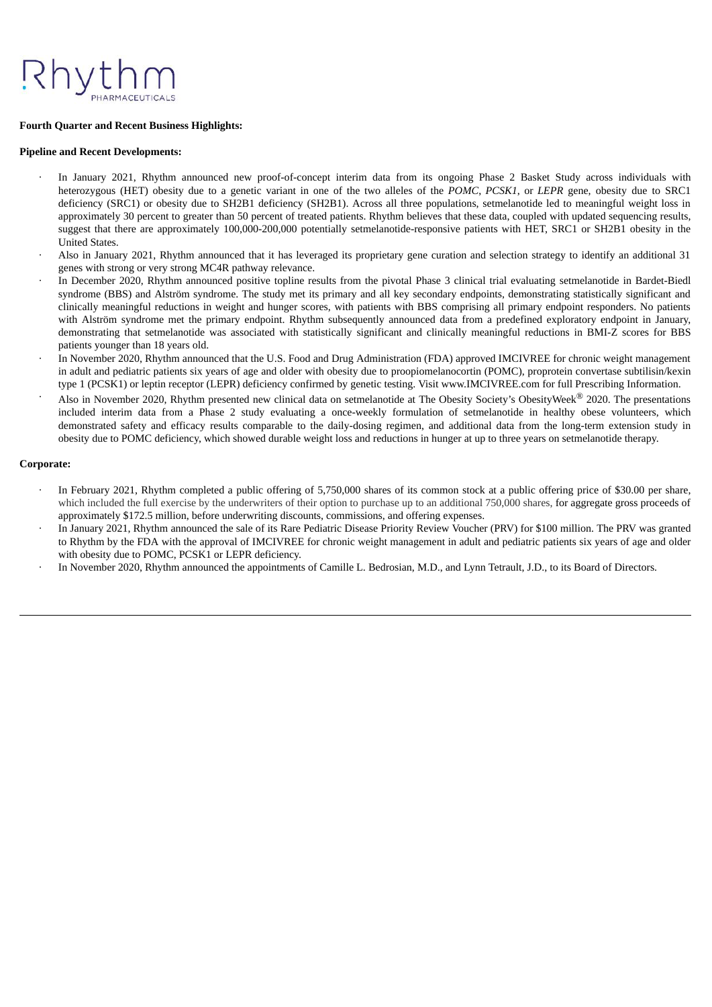#### **Fourth Quarter and Recent Business Highlights:**

#### **Pipeline and Recent Developments:**

- In January 2021, Rhythm announced new proof-of-concept interim data from its ongoing Phase 2 Basket Study across individuals with heterozygous (HET) obesity due to a genetic variant in one of the two alleles of the *POMC*, *PCSK1*, or *LEPR* gene, obesity due to SRC1 deficiency (SRC1) or obesity due to SH2B1 deficiency (SH2B1). Across all three populations, setmelanotide led to meaningful weight loss in approximately 30 percent to greater than 50 percent of treated patients. Rhythm believes that these data, coupled with updated sequencing results, suggest that there are approximately 100,000-200,000 potentially setmelanotide-responsive patients with HET, SRC1 or SH2B1 obesity in the United States.
- · Also in January 2021, Rhythm announced that it has leveraged its proprietary gene curation and selection strategy to identify an additional 31 genes with strong or very strong MC4R pathway relevance.
- In December 2020, Rhythm announced positive topline results from the pivotal Phase 3 clinical trial evaluating setmelanotide in Bardet-Biedl syndrome (BBS) and Alström syndrome. The study met its primary and all key secondary endpoints, demonstrating statistically significant and clinically meaningful reductions in weight and hunger scores, with patients with BBS comprising all primary endpoint responders. No patients with Alström syndrome met the primary endpoint. Rhythm subsequently announced data from a predefined exploratory endpoint in January, demonstrating that setmelanotide was associated with statistically significant and clinically meaningful reductions in BMI-Z scores for BBS patients younger than 18 years old.
- · In November 2020, Rhythm announced that the U.S. Food and Drug Administration (FDA) approved IMCIVREE for chronic weight management in adult and pediatric patients six years of age and older with obesity due to proopiomelanocortin (POMC), proprotein convertase subtilisin/kexin type 1 (PCSK1) or leptin receptor (LEPR) deficiency confirmed by genetic testing. Visit www.IMCIVREE.com for full Prescribing Information.
- Also in November 2020, Rhythm presented new clinical data on setmelanotide at The Obesity Society's ObesityWeek® 2020. The presentations included interim data from a Phase 2 study evaluating a once-weekly formulation of setmelanotide in healthy obese volunteers, which demonstrated safety and efficacy results comparable to the daily-dosing regimen, and additional data from the long-term extension study in obesity due to POMC deficiency, which showed durable weight loss and reductions in hunger at up to three years on setmelanotide therapy.

#### **Corporate:**

- In February 2021, Rhythm completed a public offering of 5,750,000 shares of its common stock at a public offering price of \$30.00 per share, which included the full exercise by the underwriters of their option to purchase up to an additional 750,000 shares, for aggregate gross proceeds of approximately \$172.5 million, before underwriting discounts, commissions, and offering expenses.
- · In January 2021, Rhythm announced the sale of its Rare Pediatric Disease Priority Review Voucher (PRV) for \$100 million. The PRV was granted to Rhythm by the FDA with the approval of IMCIVREE for chronic weight management in adult and pediatric patients six years of age and older with obesity due to POMC, PCSK1 or LEPR deficiency.
- In November 2020, Rhythm announced the appointments of Camille L. Bedrosian, M.D., and Lynn Tetrault, J.D., to its Board of Directors.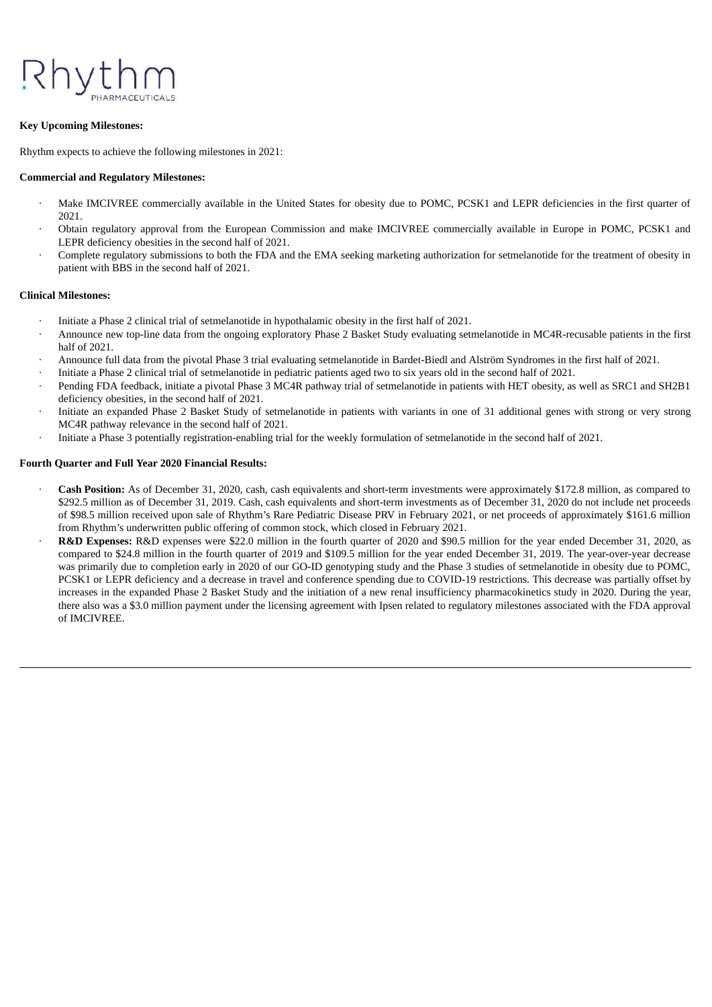

#### **Key Upcoming Milestones:**

Rhythm expects to achieve the following milestones in 2021:

#### **Commercial and Regulatory Milestones:**

- Make IMCIVREE commercially available in the United States for obesity due to POMC, PCSK1 and LEPR deficiencies in the first quarter of 2021.
- · Obtain regulatory approval from the European Commission and make IMCIVREE commercially available in Europe in POMC, PCSK1 and LEPR deficiency obesities in the second half of 2021.
- Complete regulatory submissions to both the FDA and the EMA seeking marketing authorization for setmelanotide for the treatment of obesity in patient with BBS in the second half of 2021.

#### **Clinical Milestones:**

- · Initiate a Phase 2 clinical trial of setmelanotide in hypothalamic obesity in the first half of 2021.
- · Announce new top-line data from the ongoing exploratory Phase 2 Basket Study evaluating setmelanotide in MC4R-recusable patients in the first half of 2021.
- · Announce full data from the pivotal Phase 3 trial evaluating setmelanotide in Bardet-Biedl and Alström Syndromes in the first half of 2021.
- · Initiate a Phase 2 clinical trial of setmelanotide in pediatric patients aged two to six years old in the second half of 2021.
- · Pending FDA feedback, initiate a pivotal Phase 3 MC4R pathway trial of setmelanotide in patients with HET obesity, as well as SRC1 and SH2B1 deficiency obesities, in the second half of 2021.
- · Initiate an expanded Phase 2 Basket Study of setmelanotide in patients with variants in one of 31 additional genes with strong or very strong MC4R pathway relevance in the second half of 2021.
- · Initiate a Phase 3 potentially registration-enabling trial for the weekly formulation of setmelanotide in the second half of 2021.

#### **Fourth Quarter and Full Year 2020 Financial Results:**

- · **Cash Position:** As of December 31, 2020, cash, cash equivalents and short-term investments were approximately \$172.8 million, as compared to \$292.5 million as of December 31, 2019. Cash, cash equivalents and short-term investments as of December 31, 2020 do not include net proceeds of \$98.5 million received upon sale of Rhythm's Rare Pediatric Disease PRV in February 2021, or net proceeds of approximately \$161.6 million from Rhythm's underwritten public offering of common stock, which closed in February 2021.
- · **R&D Expenses:** R&D expenses were \$22.0 million in the fourth quarter of 2020 and \$90.5 million for the year ended December 31, 2020, as compared to \$24.8 million in the fourth quarter of 2019 and \$109.5 million for the year ended December 31, 2019. The year-over-year decrease was primarily due to completion early in 2020 of our GO-ID genotyping study and the Phase 3 studies of setmelanotide in obesity due to POMC, PCSK1 or LEPR deficiency and a decrease in travel and conference spending due to COVID-19 restrictions. This decrease was partially offset by increases in the expanded Phase 2 Basket Study and the initiation of a new renal insufficiency pharmacokinetics study in 2020. During the year, there also was a \$3.0 million payment under the licensing agreement with Ipsen related to regulatory milestones associated with the FDA approval of IMCIVREE.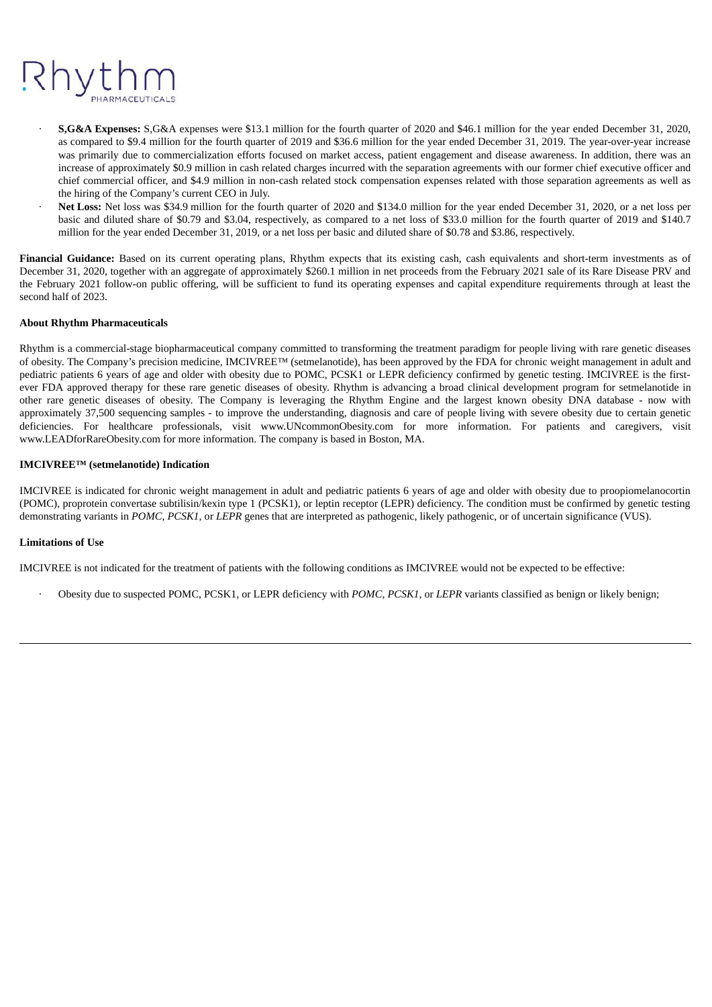## Rhytl

- · **S,G&A Expenses:** S,G&A expenses were \$13.1 million for the fourth quarter of 2020 and \$46.1 million for the year ended December 31, 2020, as compared to \$9.4 million for the fourth quarter of 2019 and \$36.6 million for the year ended December 31, 2019. The year-over-year increase was primarily due to commercialization efforts focused on market access, patient engagement and disease awareness. In addition, there was an increase of approximately \$0.9 million in cash related charges incurred with the separation agreements with our former chief executive officer and chief commercial officer, and \$4.9 million in non-cash related stock compensation expenses related with those separation agreements as well as the hiring of the Company's current CEO in July.
- Net Loss: Net loss was \$34.9 million for the fourth quarter of 2020 and \$134.0 million for the year ended December 31, 2020, or a net loss per basic and diluted share of \$0.79 and \$3.04, respectively, as compared to a net loss of \$33.0 million for the fourth quarter of 2019 and \$140.7 million for the year ended December 31, 2019, or a net loss per basic and diluted share of \$0.78 and \$3.86, respectively.

**Financial Guidance:** Based on its current operating plans, Rhythm expects that its existing cash, cash equivalents and short-term investments as of December 31, 2020, together with an aggregate of approximately \$260.1 million in net proceeds from the February 2021 sale of its Rare Disease PRV and the February 2021 follow-on public offering, will be sufficient to fund its operating expenses and capital expenditure requirements through at least the second half of 2023.

#### **About Rhythm Pharmaceuticals**

Rhythm is a commercial-stage biopharmaceutical company committed to transforming the treatment paradigm for people living with rare genetic diseases of obesity. The Company's precision medicine, IMCIVREE™ (setmelanotide), has been approved by the FDA for chronic weight management in adult and pediatric patients 6 years of age and older with obesity due to POMC, PCSK1 or LEPR deficiency confirmed by genetic testing. IMCIVREE is the firstever FDA approved therapy for these rare genetic diseases of obesity. Rhythm is advancing a broad clinical development program for setmelanotide in other rare genetic diseases of obesity. The Company is leveraging the Rhythm Engine and the largest known obesity DNA database - now with approximately 37,500 sequencing samples - to improve the understanding, diagnosis and care of people living with severe obesity due to certain genetic deficiencies. For healthcare professionals, visit www.UNcommonObesity.com for more information. For patients and caregivers, visit www.LEADforRareObesity.com for more information. The company is based in Boston, MA.

#### **IMCIVREE™ (setmelanotide) Indication**

IMCIVREE is indicated for chronic weight management in adult and pediatric patients 6 years of age and older with obesity due to proopiomelanocortin (POMC), proprotein convertase subtilisin/kexin type 1 (PCSK1), or leptin receptor (LEPR) deficiency. The condition must be confirmed by genetic testing demonstrating variants in *POMC*, *PCSK1*, or *LEPR* genes that are interpreted as pathogenic, likely pathogenic, or of uncertain significance (VUS).

#### **Limitations of Use**

IMCIVREE is not indicated for the treatment of patients with the following conditions as IMCIVREE would not be expected to be effective:

· Obesity due to suspected POMC, PCSK1, or LEPR deficiency with *POMC*, *PCSK1*, or *LEPR* variants classified as benign or likely benign;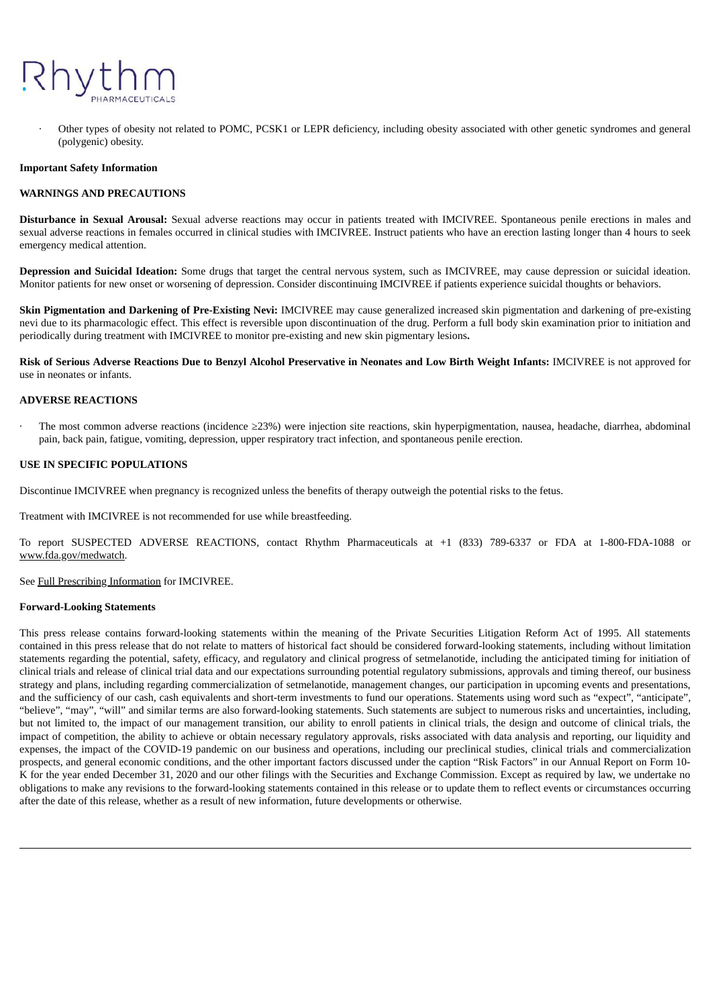

Other types of obesity not related to POMC, PCSK1 or LEPR deficiency, including obesity associated with other genetic syndromes and general (polygenic) obesity.

#### **Important Safety Information**

#### **WARNINGS AND PRECAUTIONS**

**Disturbance in Sexual Arousal:** Sexual adverse reactions may occur in patients treated with IMCIVREE. Spontaneous penile erections in males and sexual adverse reactions in females occurred in clinical studies with IMCIVREE. Instruct patients who have an erection lasting longer than 4 hours to seek emergency medical attention.

**Depression and Suicidal Ideation:** Some drugs that target the central nervous system, such as IMCIVREE, may cause depression or suicidal ideation. Monitor patients for new onset or worsening of depression. Consider discontinuing IMCIVREE if patients experience suicidal thoughts or behaviors.

**Skin Pigmentation and Darkening of Pre-Existing Nevi:** IMCIVREE may cause generalized increased skin pigmentation and darkening of pre-existing nevi due to its pharmacologic effect. This effect is reversible upon discontinuation of the drug. Perform a full body skin examination prior to initiation and periodically during treatment with IMCIVREE to monitor pre-existing and new skin pigmentary lesions**.**

Risk of Serious Adverse Reactions Due to Benzyl Alcohol Preservative in Neonates and Low Birth Weight Infants: IMCIVREE is not approved for use in neonates or infants.

#### **ADVERSE REACTIONS**

· The most common adverse reactions (incidence ≥23%) were injection site reactions, skin hyperpigmentation, nausea, headache, diarrhea, abdominal pain, back pain, fatigue, vomiting, depression, upper respiratory tract infection, and spontaneous penile erection.

#### **USE IN SPECIFIC POPULATIONS**

Discontinue IMCIVREE when pregnancy is recognized unless the benefits of therapy outweigh the potential risks to the fetus.

Treatment with IMCIVREE is not recommended for use while breastfeeding.

To report SUSPECTED ADVERSE REACTIONS, contact Rhythm Pharmaceuticals at +1 (833) 789-6337 or FDA at 1-800-FDA-1088 or www.fda.gov/medwatch.

See Full Prescribing Information for IMCIVREE.

#### **Forward-Looking Statements**

This press release contains forward-looking statements within the meaning of the Private Securities Litigation Reform Act of 1995. All statements contained in this press release that do not relate to matters of historical fact should be considered forward-looking statements, including without limitation statements regarding the potential, safety, efficacy, and regulatory and clinical progress of setmelanotide, including the anticipated timing for initiation of clinical trials and release of clinical trial data and our expectations surrounding potential regulatory submissions, approvals and timing thereof, our business strategy and plans, including regarding commercialization of setmelanotide, management changes, our participation in upcoming events and presentations, and the sufficiency of our cash, cash equivalents and short-term investments to fund our operations. Statements using word such as "expect", "anticipate", "believe", "may", "will" and similar terms are also forward-looking statements. Such statements are subject to numerous risks and uncertainties, including, but not limited to, the impact of our management transition, our ability to enroll patients in clinical trials, the design and outcome of clinical trials, the impact of competition, the ability to achieve or obtain necessary regulatory approvals, risks associated with data analysis and reporting, our liquidity and expenses, the impact of the COVID-19 pandemic on our business and operations, including our preclinical studies, clinical trials and commercialization prospects, and general economic conditions, and the other important factors discussed under the caption "Risk Factors" in our Annual Report on Form 10- K for the year ended December 31, 2020 and our other filings with the Securities and Exchange Commission. Except as required by law, we undertake no obligations to make any revisions to the forward-looking statements contained in this release or to update them to reflect events or circumstances occurring after the date of this release, whether as a result of new information, future developments or otherwise.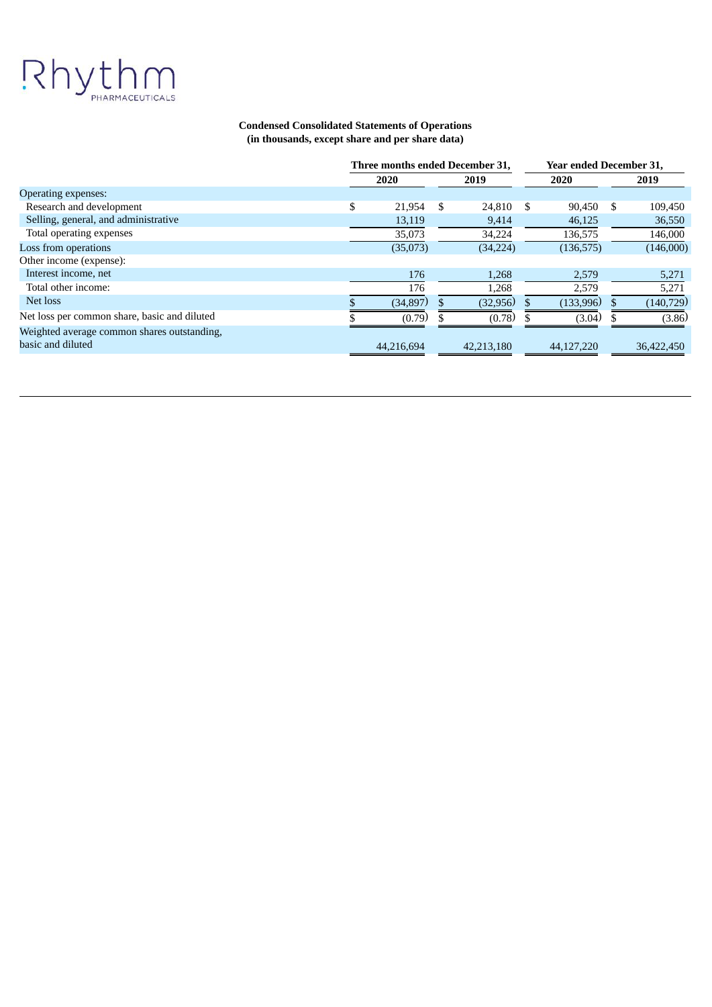# Rhythm

#### **Condensed Consolidated Statements of Operations (in thousands, except share and per share data)**

|                                              | Three months ended December 31, |     | Year ended December 31, |      |            |    |            |
|----------------------------------------------|---------------------------------|-----|-------------------------|------|------------|----|------------|
|                                              | 2020                            |     | 2019                    |      | 2020       |    | 2019       |
| Operating expenses:                          |                                 |     |                         |      |            |    |            |
| Research and development                     | \$<br>21,954                    | \$. | 24,810                  | - \$ | 90,450     | \$ | 109,450    |
| Selling, general, and administrative         | 13,119                          |     | 9,414                   |      | 46,125     |    | 36,550     |
| Total operating expenses                     | 35,073                          |     | 34,224                  |      | 136,575    |    | 146,000    |
| Loss from operations                         | (35,073)                        |     | (34, 224)               |      | (136, 575) |    | (146,000)  |
| Other income (expense):                      |                                 |     |                         |      |            |    |            |
| Interest income, net                         | 176                             |     | 1,268                   |      | 2,579      |    | 5,271      |
| Total other income:                          | 176                             |     | 1,268                   |      | 2,579      |    | 5,271      |
| Net loss                                     | (34, 897)                       |     | (32,956)                |      | (133,996)  |    | (140, 729) |
| Net loss per common share, basic and diluted | (0.79)                          |     | (0.78)                  |      | (3.04)     |    | (3.86)     |
| Weighted average common shares outstanding,  |                                 |     |                         |      |            |    |            |
| basic and diluted                            | 44,216,694                      |     | 42,213,180              |      | 44,127,220 |    | 36,422,450 |